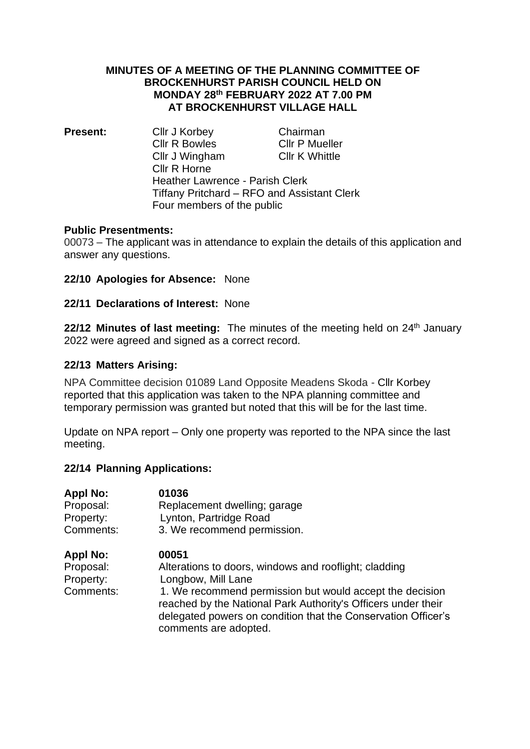## **MINUTES OF A MEETING OF THE PLANNING COMMITTEE OF BROCKENHURST PARISH COUNCIL HELD ON MONDAY 28 th FEBRUARY 2022 AT 7.00 PM AT BROCKENHURST VILLAGE HALL**

**Present:** Cllr J Korbey Chairman Cllr R Bowles Cllr P Mueller Cllr J Wingham Cllr K Whittle Cllr R Horne Heather Lawrence - Parish Clerk Tiffany Pritchard – RFO and Assistant Clerk Four members of the public

## **Public Presentments:**

00073 – The applicant was in attendance to explain the details of this application and answer any questions.

## **22/10 Apologies for Absence:** None

## **22/11 Declarations of Interest:** None

**22/12 Minutes of last meeting:** The minutes of the meeting held on 24th January 2022 were agreed and signed as a correct record.

## **22/13 Matters Arising:**

NPA Committee decision 01089 Land Opposite Meadens Skoda - Cllr Korbey reported that this application was taken to the NPA planning committee and temporary permission was granted but noted that this will be for the last time.

Update on NPA report – Only one property was reported to the NPA since the last meeting.

## **22/14 Planning Applications:**

| <b>Appl No:</b> | 01036                                                                                                                                                                                                               |
|-----------------|---------------------------------------------------------------------------------------------------------------------------------------------------------------------------------------------------------------------|
| Proposal:       | Replacement dwelling; garage                                                                                                                                                                                        |
| Property:       | Lynton, Partridge Road                                                                                                                                                                                              |
| Comments:       | 3. We recommend permission.                                                                                                                                                                                         |
| <b>Appl No:</b> | 00051                                                                                                                                                                                                               |
| Proposal:       | Alterations to doors, windows and rooflight; cladding                                                                                                                                                               |
| Property:       | Longbow, Mill Lane                                                                                                                                                                                                  |
| Comments:       | 1. We recommend permission but would accept the decision<br>reached by the National Park Authority's Officers under their<br>delegated powers on condition that the Conservation Officer's<br>comments are adopted. |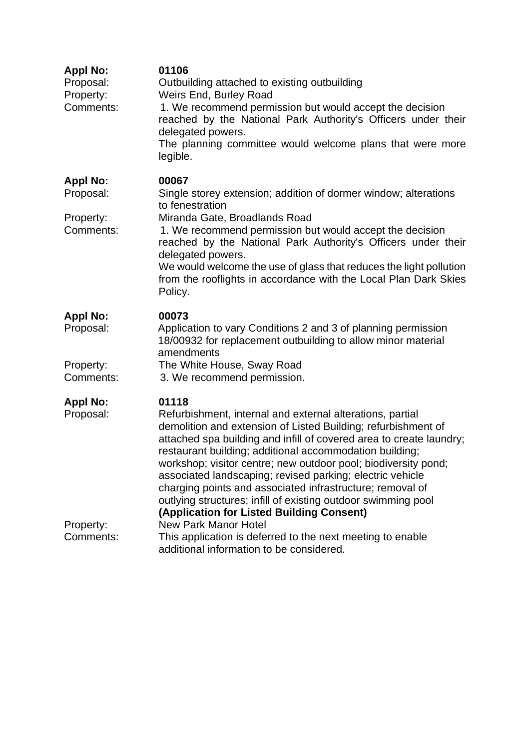| <b>Appl No:</b><br>Proposal:<br>Property:<br>Comments: | 01106<br>Outbuilding attached to existing outbuilding<br>Weirs End, Burley Road<br>1. We recommend permission but would accept the decision<br>reached by the National Park Authority's Officers under their<br>delegated powers.<br>The planning committee would welcome plans that were more<br>legible.                                                                                                                                                                                                                                                                                                     |
|--------------------------------------------------------|----------------------------------------------------------------------------------------------------------------------------------------------------------------------------------------------------------------------------------------------------------------------------------------------------------------------------------------------------------------------------------------------------------------------------------------------------------------------------------------------------------------------------------------------------------------------------------------------------------------|
| <b>Appl No:</b><br>Proposal:                           | 00067<br>Single storey extension; addition of dormer window; alterations<br>to fenestration                                                                                                                                                                                                                                                                                                                                                                                                                                                                                                                    |
| Property:<br>Comments:                                 | Miranda Gate, Broadlands Road<br>1. We recommend permission but would accept the decision<br>reached by the National Park Authority's Officers under their<br>delegated powers.<br>We would welcome the use of glass that reduces the light pollution<br>from the rooflights in accordance with the Local Plan Dark Skies<br>Policy.                                                                                                                                                                                                                                                                           |
| <b>Appl No:</b><br>Proposal:<br>Property:<br>Comments: | 00073<br>Application to vary Conditions 2 and 3 of planning permission<br>18/00932 for replacement outbuilding to allow minor material<br>amendments<br>The White House, Sway Road<br>3. We recommend permission.                                                                                                                                                                                                                                                                                                                                                                                              |
| <b>Appl No:</b><br>Proposal:<br>Property:              | 01118<br>Refurbishment, internal and external alterations, partial<br>demolition and extension of Listed Building; refurbishment of<br>attached spa building and infill of covered area to create laundry;<br>restaurant building; additional accommodation building;<br>workshop; visitor centre; new outdoor pool; biodiversity pond;<br>associated landscaping; revised parking; electric vehicle<br>charging points and associated infrastructure; removal of<br>outlying structures; infill of existing outdoor swimming pool<br>(Application for Listed Building Consent)<br><b>New Park Manor Hotel</b> |
| Comments:                                              | This application is deferred to the next meeting to enable<br>additional information to be considered.                                                                                                                                                                                                                                                                                                                                                                                                                                                                                                         |